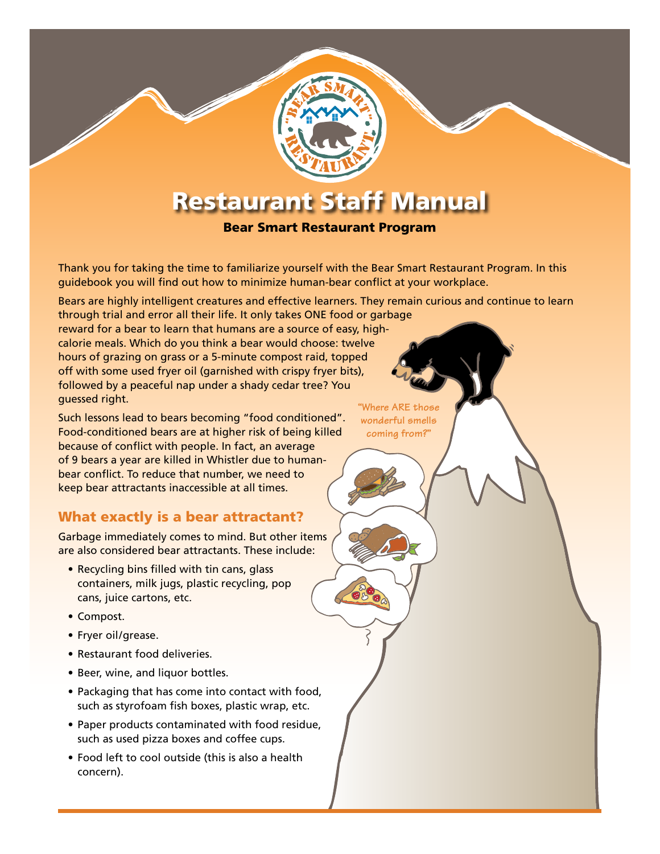# Restaurant Staff Manual

#### Bear Smart Restaurant Program

Thank you for taking the time to familiarize yourself with the Bear Smart Restaurant Program. In this guidebook you will find out how to minimize human-bear conflict at your workplace.

Bears are highly intelligent creatures and effective learners. They remain curious and continue to learn through trial and error all their life. It only takes ONE food or garbage

reward for a bear to learn that humans are a source of easy, highcalorie meals. Which do you think a bear would choose: twelve hours of grazing on grass or a 5-minute compost raid, topped off with some used fryer oil (garnished with crispy fryer bits), followed by a peaceful nap under a shady cedar tree? You guessed right.

Such lessons lead to bears becoming "food conditioned". Food-conditioned bears are at higher risk of being killed because of conflict with people. In fact, an average of 9 bears a year are killed in Whistler due to humanbear conflict. To reduce that number, we need to keep bear attractants inaccessible at all times.

## What exactly is a bear attractant?

Garbage immediately comes to mind. But other items are also considered bear attractants. These include:

- Recycling bins filled with tin cans, glass containers, milk jugs, plastic recycling, pop cans, juice cartons, etc.
- • Compost.
- Fryer oil/grease.
- Restaurant food deliveries.
- Beer, wine, and liquor bottles.
- Packaging that has come into contact with food, such as styrofoam fish boxes, plastic wrap, etc.
- Paper products contaminated with food residue, such as used pizza boxes and coffee cups.
- Food left to cool outside (this is also a health concern).

**"Where ARE those wonderful smells coming from?"**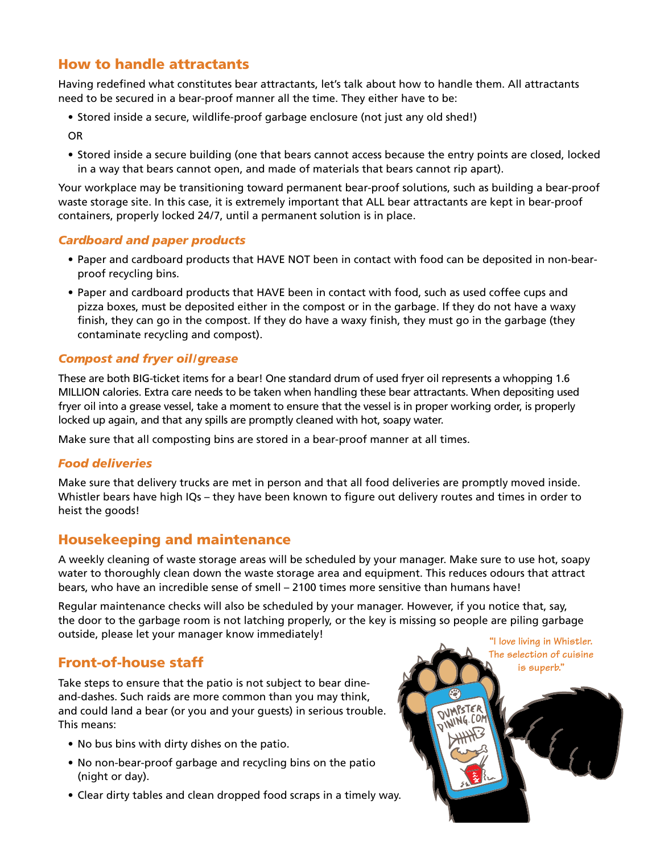# How to handle attractants

Having redefined what constitutes bear attractants, let's talk about how to handle them. All attractants need to be secured in a bear-proof manner all the time. They either have to be:

• Stored inside a secure, wildlife-proof garbage enclosure (not just any old shed!)

OR

• Stored inside a secure building (one that bears cannot access because the entry points are closed, locked in a way that bears cannot open, and made of materials that bears cannot rip apart).

Your workplace may be transitioning toward permanent bear-proof solutions, such as building a bear-proof waste storage site. In this case, it is extremely important that ALL bear attractants are kept in bear-proof containers, properly locked 24/7, until a permanent solution is in place.

#### *Cardboard and paper products*

- • Paper and cardboard products that HAVE NOT been in contact with food can be deposited in non-bearproof recycling bins.
- Paper and cardboard products that HAVE been in contact with food, such as used coffee cups and pizza boxes, must be deposited either in the compost or in the garbage. If they do not have a waxy finish, they can go in the compost. If they do have a waxy finish, they must go in the garbage (they contaminate recycling and compost).

#### *Compost and fryer oil/grease*

These are both BIG-ticket items for a bear! One standard drum of used fryer oil represents a whopping 1.6 MILLION calories. Extra care needs to be taken when handling these bear attractants. When depositing used fryer oil into a grease vessel, take a moment to ensure that the vessel is in proper working order, is properly locked up again, and that any spills are promptly cleaned with hot, soapy water.

Make sure that all composting bins are stored in a bear-proof manner at all times.

#### *Food deliveries*

Make sure that delivery trucks are met in person and that all food deliveries are promptly moved inside. Whistler bears have high IQs – they have been known to figure out delivery routes and times in order to heist the goods!

## Housekeeping and maintenance

A weekly cleaning of waste storage areas will be scheduled by your manager. Make sure to use hot, soapy water to thoroughly clean down the waste storage area and equipment. This reduces odours that attract bears, who have an incredible sense of smell – 2100 times more sensitive than humans have!

Regular maintenance checks will also be scheduled by your manager. However, if you notice that, say, the door to the garbage room is not latching properly, or the key is missing so people are piling garbage outside, please let your manager know immediately!

# Front-of-house staff

Take steps to ensure that the patio is not subject to bear dineand-dashes. Such raids are more common than you may think, and could land a bear (or you and your guests) in serious trouble. This means:

- No bus bins with dirty dishes on the patio.
- No non-bear-proof garbage and recycling bins on the patio (night or day).
- Clear dirty tables and clean dropped food scraps in a timely way.

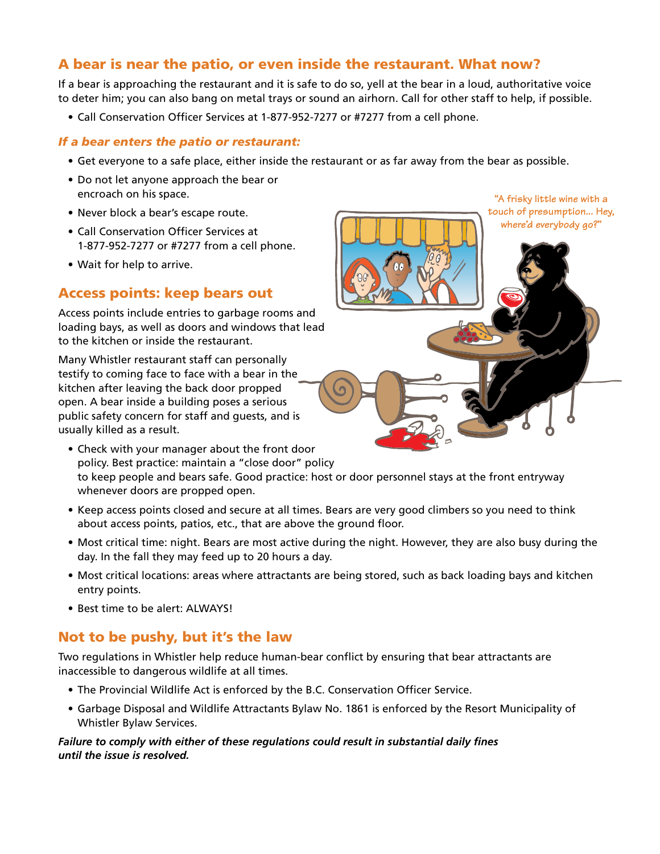## A bear is near the patio, or even inside the restaurant. What now?

If a bear is approaching the restaurant and it is safe to do so, yell at the bear in a loud, authoritative voice to deter him; you can also bang on metal trays or sound an airhorn. Call for other staff to help, if possible.

• Call Conservation Officer Services at 1-877-952-7277 or #7277 from a cell phone.

#### *If a bear enters the patio or restaurant:*

- • Get everyone to a safe place, either inside the restaurant or as far away from the bear as possible.
- Do not let anyone approach the bear or encroach on his space.
- Never block a bear's escape route.
- Call Conservation Officer Services at 1-877-952-7277 or #7277 from a cell phone.
- Wait for help to arrive.

## Access points: keep bears out

Access points include entries to garbage rooms and loading bays, as well as doors and windows that lead to the kitchen or inside the restaurant.

Many Whistler restaurant staff can personally testify to coming face to face with a bear in the kitchen after leaving the back door propped open. A bear inside a building poses a serious public safety concern for staff and guests, and is usually killed as a result.

- Check with your manager about the front door policy. Best practice: maintain a "close door" policy to keep people and bears safe. Good practice: host or door personnel stays at the front entryway whenever doors are propped open.
- • Keep access points closed and secure at all times. Bears are very good climbers so you need to think about access points, patios, etc., that are above the ground floor.
- • Most critical time: night. Bears are most active during the night. However, they are also busy during the day. In the fall they may feed up to 20 hours a day.
- • Most critical locations: areas where attractants are being stored, such as back loading bays and kitchen entry points.
- Best time to be alert: ALWAYS!

## Not to be pushy, but it's the law

Two regulations in Whistler help reduce human-bear conflict by ensuring that bear attractants are inaccessible to dangerous wildlife at all times.

- The Provincial Wildlife Act is enforced by the B.C. Conservation Officer Service.
- • Garbage Disposal and Wildlife Attractants Bylaw No. 1861 is enforced by the Resort Municipality of Whistler Bylaw Services.

#### *Failure to comply with either of these regulations could result in substantial daily fines until the issue is resolved.*



**"A frisky little wine with a**